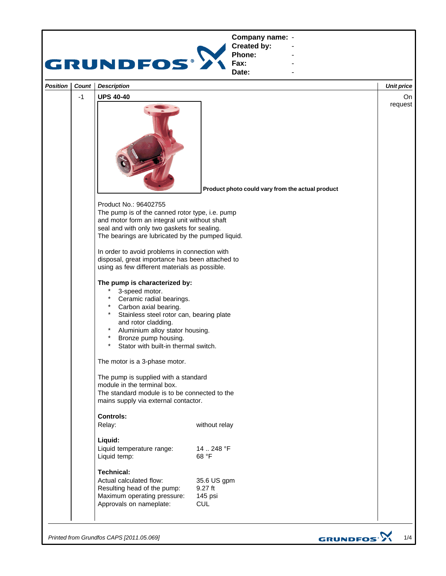

*Printed from Grundfos CAPS [2011.05.069]*

GRUNDFOS<sup>.</sup>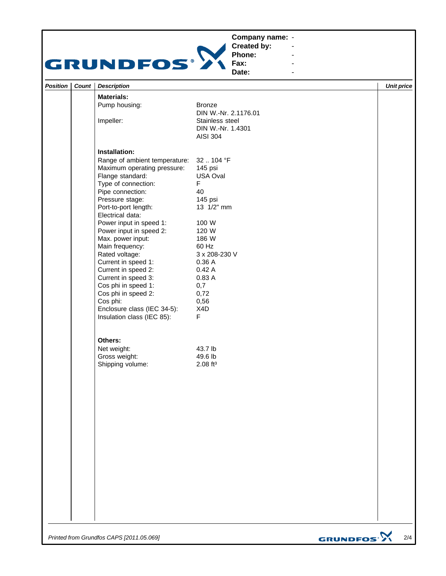## **Company name: -** Construction of the construction



**Created by: Phone:**

**Fax: Date:**

**-** Construction of the construction

**-** Andrea Maria Maria Maria Maria **-** Andrea Maria Maria Maria Maria **-** Andrea Maria Maria Maria Maria

| Position   Count | <b>Description</b>                         |                                                         | <b>Unit price</b> |
|------------------|--------------------------------------------|---------------------------------------------------------|-------------------|
|                  | <b>Materials:</b>                          |                                                         |                   |
|                  | Pump housing:                              | <b>Bronze</b><br>DIN W.-Nr. 2.1176.01                   |                   |
|                  | Impeller:                                  | Stainless steel<br>DIN W.-Nr. 1.4301<br><b>AISI 304</b> |                   |
|                  | Installation:                              |                                                         |                   |
|                  | Range of ambient temperature:              | 32  104 °F                                              |                   |
|                  | Maximum operating pressure:                | 145 psi                                                 |                   |
|                  | Flange standard:<br>Type of connection:    | USA Oval<br>F.                                          |                   |
|                  | Pipe connection:                           | 40                                                      |                   |
|                  | Pressure stage:                            | 145 psi                                                 |                   |
|                  | Port-to-port length:<br>Electrical data:   | 13 1/2" mm                                              |                   |
|                  | Power input in speed 1:                    | 100 W                                                   |                   |
|                  | Power input in speed 2:                    | 120 W                                                   |                   |
|                  | Max. power input:                          | 186 W                                                   |                   |
|                  | Main frequency:                            | 60 Hz                                                   |                   |
|                  | Rated voltage:                             | 3 x 208-230 V                                           |                   |
|                  | Current in speed 1:                        | 0.36 A                                                  |                   |
|                  | Current in speed 2:                        | 0.42A                                                   |                   |
|                  | Current in speed 3:                        | 0.83 A                                                  |                   |
|                  | Cos phi in speed 1:<br>Cos phi in speed 2: | 0,7<br>0,72                                             |                   |
|                  | Cos phi:                                   | 0,56                                                    |                   |
|                  | Enclosure class (IEC 34-5):                | X4D                                                     |                   |
|                  | Insulation class (IEC 85):                 | F.                                                      |                   |
|                  | Others:                                    |                                                         |                   |
|                  | Net weight:                                | 43.7 lb                                                 |                   |
|                  | Gross weight:                              | 49.6 lb                                                 |                   |
|                  | Shipping volume:                           | $2.08$ ft <sup>3</sup>                                  |                   |
|                  |                                            |                                                         |                   |
|                  |                                            |                                                         |                   |
|                  |                                            |                                                         |                   |
|                  |                                            |                                                         |                   |
|                  |                                            |                                                         |                   |
|                  |                                            |                                                         |                   |
|                  |                                            |                                                         |                   |
|                  |                                            |                                                         |                   |
|                  |                                            |                                                         |                   |
|                  |                                            |                                                         |                   |

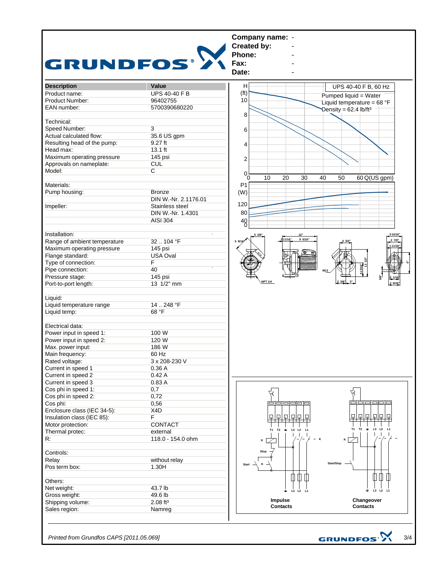

*Printed from Grundfos CAPS [2011.05.069]*

GRUNDFOS<sup>.}</sup>

3/4